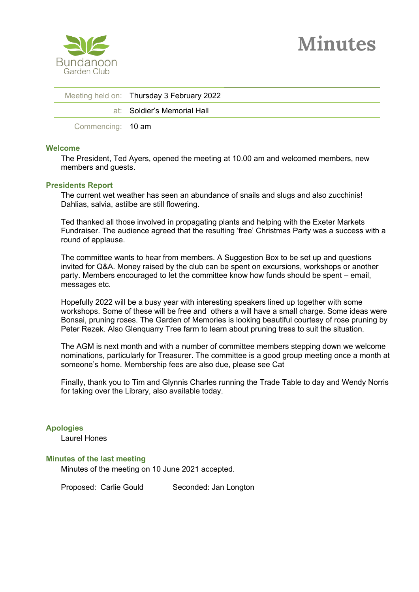

|                   | Meeting held on: Thursday 3 February 2022 |
|-------------------|-------------------------------------------|
|                   | at: Soldier's Memorial Hall               |
| Commencing: 10 am |                                           |

# **Welcome**

The President, Ted Ayers, opened the meeting at 10.00 am and welcomed members, new members and guests.

# **Presidents Report**

The current wet weather has seen an abundance of snails and slugs and also zucchinis! Dahlias, salvia, astilbe are still flowering.

Ted thanked all those involved in propagating plants and helping with the Exeter Markets Fundraiser. The audience agreed that the resulting 'free' Christmas Party was a success with a round of applause.

The committee wants to hear from members. A Suggestion Box to be set up and questions invited for Q&A. Money raised by the club can be spent on excursions, workshops or another party. Members encouraged to let the committee know how funds should be spent – email, messages etc.

Hopefully 2022 will be a busy year with interesting speakers lined up together with some workshops. Some of these will be free and others a will have a small charge. Some ideas were Bonsai, pruning roses. The Garden of Memories is looking beautiful courtesy of rose pruning by Peter Rezek. Also Glenquarry Tree farm to learn about pruning tress to suit the situation.

The AGM is next month and with a number of committee members stepping down we welcome nominations, particularly for Treasurer. The committee is a good group meeting once a month at someone's home. Membership fees are also due, please see Cat

Finally, thank you to Tim and Glynnis Charles running the Trade Table to day and Wendy Norris for taking over the Library, also available today.

# **Apologies**

Laurel Hones

# **Minutes of the last meeting**

Minutes of the meeting on 10 June 2021 accepted.

Proposed: Carlie Gould Seconded: Jan Longton